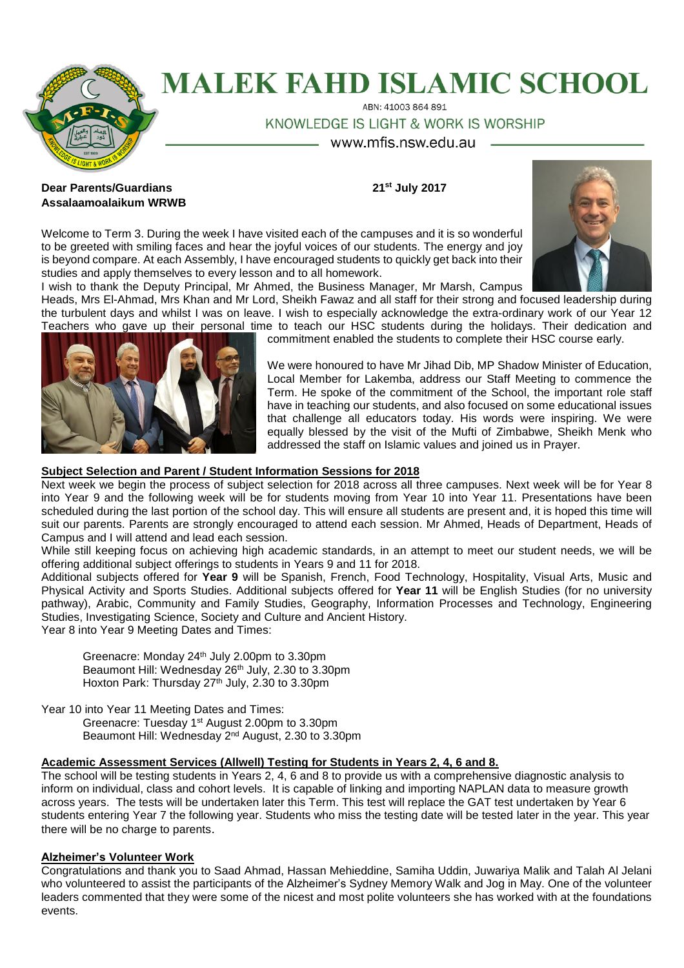

# **MALEK FAHD ISLAMIC SCHOOL**

ABN: 41003 864 891

KNOWLEDGE IS LIGHT & WORK IS WORSHIP

www.mfis.nsw.edu.au -

# **Dear Parents/Guardians 21st July 2017 Assalaamoalaikum WRWB**

Welcome to Term 3. During the week I have visited each of the campuses and it is so wonderful to be greeted with smiling faces and hear the joyful voices of our students. The energy and joy is beyond compare. At each Assembly, I have encouraged students to quickly get back into their studies and apply themselves to every lesson and to all homework.



Heads, Mrs El-Ahmad, Mrs Khan and Mr Lord, Sheikh Fawaz and all staff for their strong and focused leadership during the turbulent days and whilst I was on leave. I wish to especially acknowledge the extra-ordinary work of our Year 12 Teachers who gave up their personal time to teach our HSC students during the holidays. Their dedication and



commitment enabled the students to complete their HSC course early.

We were honoured to have Mr Jihad Dib, MP Shadow Minister of Education, Local Member for Lakemba, address our Staff Meeting to commence the Term. He spoke of the commitment of the School, the important role staff have in teaching our students, and also focused on some educational issues that challenge all educators today. His words were inspiring. We were equally blessed by the visit of the Mufti of Zimbabwe, Sheikh Menk who addressed the staff on Islamic values and joined us in Prayer.

# **Subject Selection and Parent / Student Information Sessions for 2018**

Next week we begin the process of subject selection for 2018 across all three campuses. Next week will be for Year 8 into Year 9 and the following week will be for students moving from Year 10 into Year 11. Presentations have been scheduled during the last portion of the school day. This will ensure all students are present and, it is hoped this time will suit our parents. Parents are strongly encouraged to attend each session. Mr Ahmed, Heads of Department, Heads of Campus and I will attend and lead each session.

While still keeping focus on achieving high academic standards, in an attempt to meet our student needs, we will be offering additional subject offerings to students in Years 9 and 11 for 2018.

Additional subjects offered for **Year 9** will be Spanish, French, Food Technology, Hospitality, Visual Arts, Music and Physical Activity and Sports Studies. Additional subjects offered for **Year 11** will be English Studies (for no university pathway), Arabic, Community and Family Studies, Geography, Information Processes and Technology, Engineering Studies, Investigating Science, Society and Culture and Ancient History.

Year 8 into Year 9 Meeting Dates and Times:

Greenacre: Monday 24th July 2.00pm to 3.30pm Beaumont Hill: Wednesday 26<sup>th</sup> July, 2.30 to 3.30pm Hoxton Park: Thursday 27<sup>th</sup> July, 2.30 to 3.30pm

Year 10 into Year 11 Meeting Dates and Times:

Greenacre: Tuesday 1<sup>st</sup> August 2.00pm to 3.30pm Beaumont Hill: Wednesday 2<sup>nd</sup> August, 2.30 to 3.30pm

# **Academic Assessment Services (Allwell) Testing for Students in Years 2, 4, 6 and 8.**

The school will be testing students in Years 2, 4, 6 and 8 to provide us with a comprehensive diagnostic analysis to inform on individual, class and cohort levels. It is capable of linking and importing NAPLAN data to measure growth across years. The tests will be undertaken later this Term. This test will replace the GAT test undertaken by Year 6 students entering Year 7 the following year. Students who miss the testing date will be tested later in the year. This year there will be no charge to parents.

# **Alzheimer's Volunteer Work**

Congratulations and thank you to Saad Ahmad, Hassan Mehieddine, Samiha Uddin, Juwariya Malik and Talah Al Jelani who volunteered to assist the participants of the Alzheimer's Sydney Memory Walk and Jog in May. One of the volunteer leaders commented that they were some of the nicest and most polite volunteers she has worked with at the foundations events.